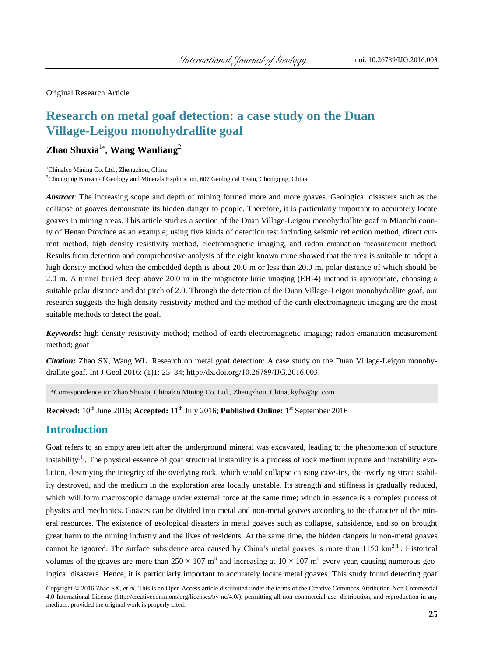Original Research Article

# **Research on metal goaf detection: a case study on the Duan Village-Leigou monohydrallite goaf**

# **Zhao Shuxia**<sup>1</sup>\* **, Wang Wanliang**<sup>2</sup>

<sup>1</sup>Chinalco Mining Co. Ltd., Zhengzhou, China

<sup>2</sup>Chongqing Bureau of Geology and Minerals Exploration, 607 Geological Team, Chongqing, China

*Abstract*: The increasing scope and depth of mining formed more and more goaves. Geological disasters such as the collapse of goaves demonstrate its hidden danger to people. Therefore, it is particularly important to accurately locate goaves in mining areas. This article studies a section of the Duan Village-Leigou monohydrallite goaf in Mianchi county of Henan Province as an example; using five kinds of detection test including seismic reflection method, direct current method, high density resistivity method, electromagnetic imaging, and radon emanation measurement method. Results from detection and comprehensive analysis of the eight known mine showed that the area is suitable to adopt a high density method when the embedded depth is about 20.0 m or less than 20.0 m, polar distance of which should be 2.0 m. A tunnel buried deep above 20.0 m in the magnetotelluric imaging (EH-4) method is appropriate, choosing a suitable polar distance and dot pitch of 2.0. Through the detection of the Duan Village-Leigou monohydrallite goaf, our research suggests the high density resistivity method and the method of the earth electromagnetic imaging are the most suitable methods to detect the goaf.

*Keywords***:** high density resistivity method; method of earth electromagnetic imaging; radon emanation measurement method; goaf

*Citation***:** Zhao SX, Wang WL. Research on metal goaf detection: A case study on the Duan Village-Leigou monohydrallite goaf. Int J Geol 2016: (1)1: 25–34; http://dx.doi.org/10.26789/IJG.2016.003.

\*Correspondence to: Zhao Shuxia, Chinalco Mining Co. Ltd., Zhengzhou, China, kyfw@qq.com

**Received:** 10<sup>th</sup> June 2016; **Accepted:** 11<sup>th</sup> July 2016; **Published Online:** 1<sup>st</sup> September 2016

### **Introduction**

Goaf refers to an empty area left after the underground mineral was excavated, leading to the phenomenon of structure instability<sup>[\[1\]](#page-9-0)</sup>. The physical essence of goaf structural instability is a process of rock medium rupture and instability evolution, destroying the integrity of the overlying rock, which would collapse causing cave-ins, the overlying strata stability destroyed, and the medium in the exploration area locally unstable. Its strength and stiffness is gradually reduced, which will form macroscopic damage under external force at the same time; which in essence is a complex process of physics and mechanics. Goaves can be divided into metal and non-metal goaves according to the character of the mineral resources. The existence of geological disasters in metal goaves such as collapse, subsidence, and so on brought great harm to the mining industry and the lives of residents. At the same time, the hidden dangers in non-metal goaves cannot be ignored. The surface subsidence area caused by China's metal goaves is more than  $1150 \text{ km}^{2[1]}$  $1150 \text{ km}^{2[1]}$  $1150 \text{ km}^{2[1]}$ . Historical volumes of the goaves are more than 250  $\times$  107 m<sup>3</sup> and increasing at 10  $\times$  107 m<sup>3</sup> every year, causing numerous geological disasters. Hence, it is particularly important to accurately locate metal goaves. This study found detecting goaf

Copyright © 2016 Zhao SX, *et al*. This is an Open Access article distributed under the terms of the Creative Commons Attribution-Non Commercial 4.0 International License (http://creativecommons.org/licenses/by-nc/4.0/), permitting all non-commercial use, distribution, and reproduction in any medium, provided the original work is properly cited.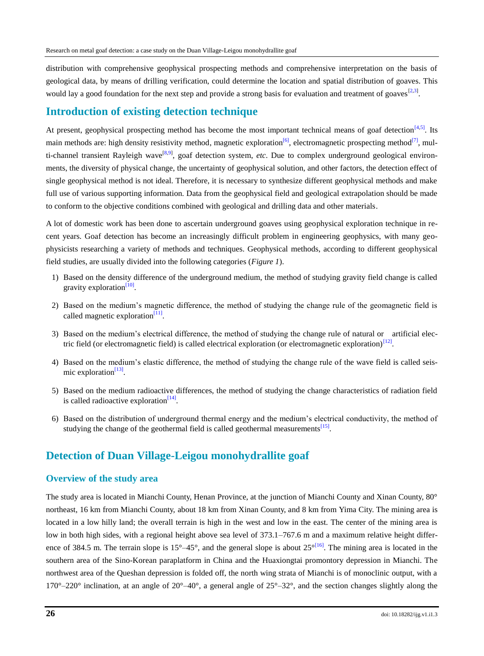distribution with comprehensive geophysical prospecting methods and comprehensive interpretation on the basis of geological data, by means of drilling verification, could determine the location and spatial distribution of goaves. This would lay a good foundation for the next step and provide a strong basis for evaluation and treatment of goaves  $[2,3]$  $[2,3]$ .

### **Introduction of existing detection technique**

At present, geophysical prospecting method has become the most important technical means of goaf detection $[4,5]$  $[4,5]$ . Its main methods are: high density resistivity method, magnetic exploration<sup>[\[6\]](#page-9-5)</sup>, electromagnetic prospecting method<sup>[\[7\]](#page-9-6)</sup>, mul-ti-channel transient Rayleigh wave<sup>[\[8,](#page-9-7)[9\]](#page-9-8)</sup>, goaf detection system, *etc*. Due to complex underground geological environments, the diversity of physical change, the uncertainty of geophysical solution, and other factors, the detection effect of single geophysical method is not ideal. Therefore, it is necessary to synthesize different geophysical methods and make full use of various supporting information. Data from the geophysical field and geological extrapolation should be made to conform to the objective conditions combined with geological and drilling data and other materials.

A lot of domestic work has been done to ascertain underground goaves using geophysical exploration technique in recent years. Goaf detection has become an increasingly difficult problem in engineering geophysics, with many geophysicists researching a variety of methods and techniques. Geophysical methods, according to different geophysical field studies, are usually divided into the following categories (*[Figure 1](#page-2-0)*).

- 1) Based on the density difference of the underground medium, the method of studying gravity field change is called gravity exploration<sup>[\[10\]](#page-9-9)</sup>.
- 2) Based on the medium's magnetic difference, the method of studying the change rule of the geomagnetic field is called magnetic exploration $^{[11]}$  $^{[11]}$  $^{[11]}$ .
- 3) Based on the medium's electrical difference, the method of studying the change rule of natural or artificial elec-tric field (or electromagnetic field) is called electrical exploration (or electromagnetic exploration)<sup>[\[12\]](#page-9-11)</sup>.
- 4) Based on the medium's elastic difference, the method of studying the change rule of the wave field is called seis-mic exploration<sup>[\[13\]](#page-9-12)</sup>.
- 5) Based on the medium radioactive differences, the method of studying the change characteristics of radiation field is called radioactive exploration $[14]$ .
- 6) Based on the distribution of underground thermal energy and the medium's electrical conductivity, the method of studying the change of the geothermal field is called geothermal measurements<sup>[\[15\]](#page-9-14)</sup>.

### **Detection of Duan Village-Leigou monohydrallite goaf**

#### **Overview of the study area**

The study area is located in Mianchi County, Henan Province, at the junction of Mianchi County and Xinan County, 80° northeast, 16 km from Mianchi County, about 18 km from Xinan County, and 8 km from Yima City. The mining area is located in a low hilly land; the overall terrain is high in the west and low in the east. The center of the mining area is low in both high sides, with a regional height above sea level of 373.1–767.6 m and a maximum relative height difference of 384.5 m. The terrain slope is 15 $\degree$ –45 $\degree$ , and the general slope is about 25 $\frac{d}{6}$ . The mining area is located in the southern area of the Sino-Korean paraplatform in China and the Huaxiongtai promontory depression in Mianchi. The northwest area of the Queshan depression is folded off, the north wing strata of Mianchi is of monoclinic output, with a 170°–220° inclination, at an angle of 20°–40°, a general angle of 25°–32°, and the section changes slightly along the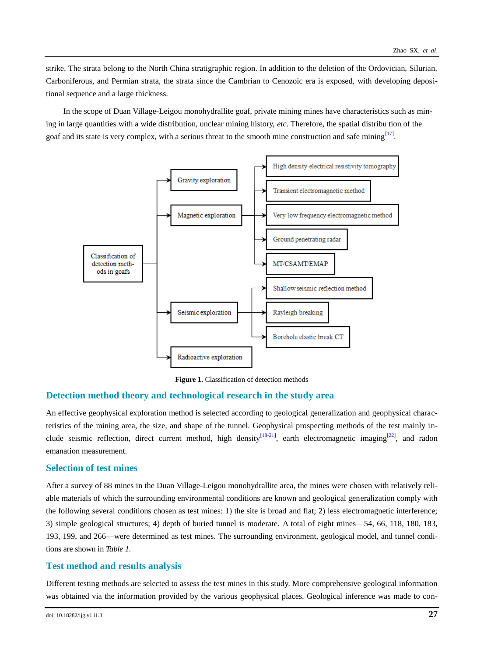strike. The strata belong to the North China stratigraphic region. In addition to the deletion of the Ordovician, Silurian, Carboniferous, and Permian strata, the strata since the Cambrian to Cenozoic era is exposed, with developing depositional sequence and a large thickness.

In the scope of Duan Village-Leigou monohydrallite goaf, private mining mines have characteristics such as mining in large quantities with a wide distribution, unclear mining history, *etc*. Therefore, the spatial distribu tion of the goaf and its state is very complex, with a serious threat to the smooth mine construction and safe mining<sup>[\[17\]](#page-9-16)</sup>.



<span id="page-2-0"></span>**Figure 1.** Classification of detection methods

#### **Detection method theory and technological research in the study area**

An effective geophysical exploration method is selected according to geological generalization and geophysical characteristics of the mining area, the size, and shape of the tunnel. Geophysical prospecting methods of the test mainly in-clude seismic reflection, direct current method, high density<sup>[\[18-](#page-9-17)[21\]](#page-9-18)</sup>, earth electromagnetic imaging<sup>[\[22\]](#page-9-19)</sup>, and radon emanation measurement.

#### **Selection of test mines**

After a survey of 88 mines in the Duan Village-Leigou monohydrallite area, the mines were chosen with relatively reliable materials of which the surrounding environmental conditions are known and geological generalization comply with the following several conditions chosen as test mines: 1) the site is broad and flat; 2) less electromagnetic interference; 3) simple geological structures; 4) depth of buried tunnel is moderate. A total of eight mines—54, 66, 118, 180, 183, 193, 199, and 266—were determined as test mines. The surrounding environment, geological model, and tunnel conditions are shown in *[Table 1.](#page-3-0)*

#### **Test method and results analysis**

Different testing methods are selected to assess the test mines in this study. More comprehensive geological information was obtained via the information provided by the various geophysical places. Geological inference was made to con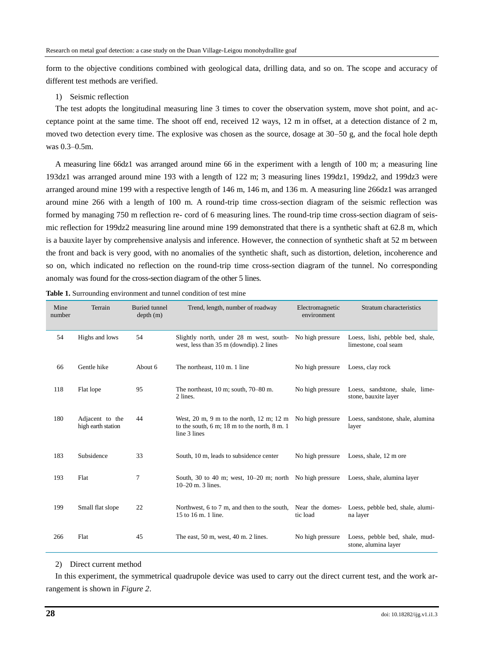form to the objective conditions combined with geological data, drilling data, and so on. The scope and accuracy of different test methods are verified.

#### 1) Seismic reflection

The test adopts the longitudinal measuring line 3 times to cover the observation system, move shot point, and acceptance point at the same time. The shoot off end, received 12 ways, 12 m in offset, at a detection distance of 2 m, moved two detection every time. The explosive was chosen as the source, dosage at 30–50 g, and the focal hole depth was 0.3–0.5m.

A measuring line 66dz1 was arranged around mine 66 in the experiment with a length of 100 m; a measuring line 193dz1 was arranged around mine 193 with a length of 122 m; 3 measuring lines 199dz1, 199dz2, and 199dz3 were arranged around mine 199 with a respective length of 146 m, 146 m, and 136 m. A measuring line 266dz1 was arranged around mine 266 with a length of 100 m. A round-trip time cross-section diagram of the seismic reflection was formed by managing 750 m reflection re- cord of 6 measuring lines. The round-trip time cross-section diagram of seismic reflection for 199dz2 measuring line around mine 199 demonstrated that there is a synthetic shaft at 62.8 m, which is a bauxite layer by comprehensive analysis and inference. However, the connection of synthetic shaft at 52 m between the front and back is very good, with no anomalies of the synthetic shaft, such as distortion, deletion, incoherence and so on, which indicated no reflection on the round-trip time cross-section diagram of the tunnel. No corresponding anomaly was found for the cross-section diagram of the other 5 lines.

| Mine<br>number | Terrain                               | <b>Buried</b> tunnel<br>depth(m) | Trend, length, number of roadway                                                                                                                                                   | Electromagnetic<br>environment | Stratum characteristics                                  |  |
|----------------|---------------------------------------|----------------------------------|------------------------------------------------------------------------------------------------------------------------------------------------------------------------------------|--------------------------------|----------------------------------------------------------|--|
| 54             | Highs and lows                        | 54                               | Slightly north, under 28 m west, south-<br>west, less than 35 m (downdip). 2 lines                                                                                                 | No high pressure               | Loess, lishi, pebble bed, shale,<br>limestone, coal seam |  |
| 66             | Gentle hike                           | About 6                          | The northeast, 110 m. 1 line                                                                                                                                                       | No high pressure               | Loess, clay rock                                         |  |
| 118            | Flat lope                             | 95                               | The northeast, $10 \text{ m}$ ; south, $70-80 \text{ m}$ .<br>2 lines.                                                                                                             | No high pressure               | Loess, sandstone, shale, lime-<br>stone, bauxite layer   |  |
| 180            | Adjacent to the<br>high earth station | 44                               | West, $20 \text{ m}$ , $9 \text{ m}$ to the north, $12 \text{ m}$ ; $12 \text{ m}$<br>to the south, $6 \text{ m}$ ; $18 \text{ m}$ to the north, $8 \text{ m}$ . 1<br>line 3 lines | No high pressure               | Loess, sandstone, shale, alumina<br>layer                |  |
| 183            | Subsidence                            | 33                               | South, 10 m, leads to subsidence center                                                                                                                                            | No high pressure               | Loess, shale, 12 m ore                                   |  |
| 193            | Flat                                  | 7                                | South, 30 to 40 m; west, $10-20$ m; north No high pressure<br>$10-20$ m. 3 lines.                                                                                                  |                                | Loess, shale, alumina layer                              |  |
| 199            | Small flat slope                      | 22                               | Northwest, 6 to 7 m, and then to the south,<br>15 to 16 m. 1 line.                                                                                                                 | Near the domes-<br>tic load    | Loess, pebble bed, shale, alumi-<br>na layer             |  |
| 266            | Flat                                  | 45                               | The east, $50$ m, west, $40$ m. $2$ lines.                                                                                                                                         | No high pressure               | Loess, pebble bed, shale, mud-<br>stone, alumina layer   |  |

<span id="page-3-0"></span>

| <b>Table 1.</b> Surrounding environment and tunnel condition of test mine |  |  |  |
|---------------------------------------------------------------------------|--|--|--|
|                                                                           |  |  |  |

#### 2) Direct current method

In this experiment, the symmetrical quadrupole device was used to carry out the direct current test, and the work arrangement is shown in *[Figure 2](#page-4-0)*.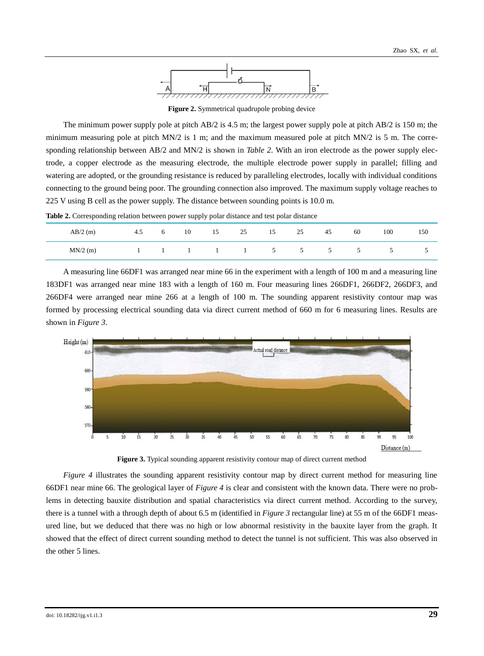

**Figure 2.** Symmetrical quadrupole probing device

<span id="page-4-0"></span>The minimum power supply pole at pitch AB/2 is 4.5 m; the largest power supply pole at pitch AB/2 is 150 m; the minimum measuring pole at pitch MN/2 is 1 m; and the maximum measured pole at pitch MN/2 is 5 m. The corresponding relationship between AB/2 and MN/2 is shown in *[Table 2](#page-4-1)*. With an iron electrode as the power supply electrode, a copper electrode as the measuring electrode, the multiple electrode power supply in parallel; filling and watering are adopted, or the grounding resistance is reduced by paralleling electrodes, locally with individual conditions connecting to the ground being poor. The grounding connection also improved. The maximum supply voltage reaches to 225 V using B cell as the power supply. The distance between sounding points is 10.0 m.

<span id="page-4-1"></span>**Table 2.** Corresponding relation between power supply polar distance and test polar distance

| $AB/2$ (m) | 4.5 | 10                       | 15           | 25 | 15          | 25            | 45 | 60 | 100 | 150 |
|------------|-----|--------------------------|--------------|----|-------------|---------------|----|----|-----|-----|
| $MN/2$ (m) |     | $\overline{\phantom{a}}$ | $\mathbf{1}$ |    | $\sim$<br>ັ | $\mathcal{D}$ | ◡  | ◡  | ◡   | ◡   |

A measuring line 66DF1 was arranged near mine 66 in the experiment with a length of 100 m and a measuring line 183DF1 was arranged near mine 183 with a length of 160 m. Four measuring lines 266DF1, 266DF2, 266DF3, and 266DF4 were arranged near mine 266 at a length of 100 m. The sounding apparent resistivity contour map was formed by processing electrical sounding data via direct current method of 660 m for 6 measuring lines. Results are shown in *[Figure 3](#page-4-2)*.

<span id="page-4-2"></span>

**Figure 3.** Typical sounding apparent resistivity contour map of direct current method

*[Figure 4](#page-5-0)* illustrates the sounding apparent resistivity contour map by direct current method for measuring line 66DF1 near mine 66. The geological layer of *[Figure 4](#page-5-0)* is clear and consistent with the known data. There were no problems in detecting bauxite distribution and spatial characteristics via direct current method. According to the survey, there is a tunnel with a through depth of about 6.5 m (identified in *[Figure 3](#page-4-2)* rectangular line) at 55 m of the 66DF1 measured line, but we deduced that there was no high or low abnormal resistivity in the bauxite layer from the graph. It showed that the effect of direct current sounding method to detect the tunnel is not sufficient. This was also observed in the other 5 lines.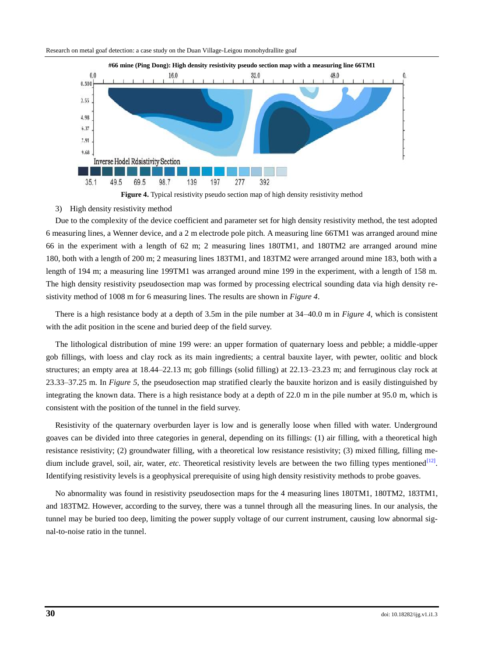<span id="page-5-0"></span>



#### 3) High density resistivity method

Due to the complexity of the device coefficient and parameter set for high density resistivity method, the test adopted 6 measuring lines, a Wenner device, and a 2 m electrode pole pitch. A measuring line 66TM1 was arranged around mine 66 in the experiment with a length of 62 m; 2 measuring lines 180TM1, and 180TM2 are arranged around mine 180, both with a length of 200 m; 2 measuring lines 183TM1, and 183TM2 were arranged around mine 183, both with a length of 194 m; a measuring line 199TM1 was arranged around mine 199 in the experiment, with a length of 158 m. The high density resistivity pseudosection map was formed by processing electrical sounding data via high density resistivity method of 1008 m for 6 measuring lines. The results are shown in *[Figure 4](#page-5-0)*.

There is a high resistance body at a depth of 3.5m in the pile number at 34–40.0 m in *[Figure 4](#page-5-0)*, which is consistent with the adit position in the scene and buried deep of the field survey.

The lithological distribution of mine 199 were: an upper formation of quaternary loess and pebble; a middle-upper gob fillings, with loess and clay rock as its main ingredients; a central bauxite layer, with pewter, oolitic and block structures; an empty area at 18.44–22.13 m; gob fillings (solid filling) at 22.13–23.23 m; and ferruginous clay rock at 23.33–37.25 m. In *[Figure 5](#page-6-0)*, the pseudosection map stratified clearly the bauxite horizon and is easily distinguished by integrating the known data. There is a high resistance body at a depth of 22.0 m in the pile number at 95.0 m, which is consistent with the position of the tunnel in the field survey.

Resistivity of the quaternary overburden layer is low and is generally loose when filled with water. Underground goaves can be divided into three categories in general, depending on its fillings: (1) air filling, with a theoretical high resistance resistivity; (2) groundwater filling, with a theoretical low resistance resistivity; (3) mixed filling, filling medium include gravel, soil, air, water, *etc*. Theoretical resistivity levels are between the two filling types mentioned $^{[12]}$  $^{[12]}$  $^{[12]}$ . Identifying resistivity levels is a geophysical prerequisite of using high density resistivity methods to probe goaves.

No abnormality was found in resistivity pseudosection maps for the 4 measuring lines 180TM1, 180TM2, 183TM1, and 183TM2. However, according to the survey, there was a tunnel through all the measuring lines. In our analysis, the tunnel may be buried too deep, limiting the power supply voltage of our current instrument, causing low abnormal signal-to-noise ratio in the tunnel.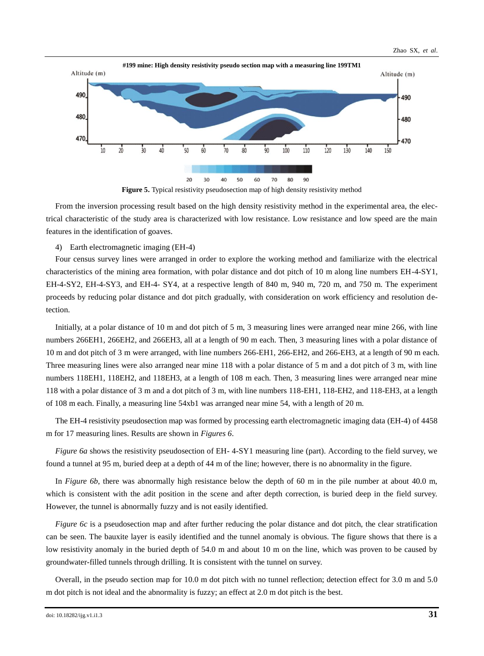<span id="page-6-0"></span>



From the inversion processing result based on the high density resistivity method in the experimental area, the electrical characteristic of the study area is characterized with low resistance. Low resistance and low speed are the main features in the identification of goaves.

4) Earth electromagnetic imaging (EH-4)

Four census survey lines were arranged in order to explore the working method and familiarize with the electrical characteristics of the mining area formation, with polar distance and dot pitch of 10 m along line numbers EH-4-SY1, EH-4-SY2, EH-4-SY3, and EH-4- SY4, at a respective length of 840 m, 940 m, 720 m, and 750 m. The experiment proceeds by reducing polar distance and dot pitch gradually, with consideration on work efficiency and resolution detection.

Initially, at a polar distance of 10 m and dot pitch of 5 m, 3 measuring lines were arranged near mine 266, with line numbers 266EH1, 266EH2, and 266EH3, all at a length of 90 m each. Then, 3 measuring lines with a polar distance of 10 m and dot pitch of 3 m were arranged, with line numbers 266-EH1, 266-EH2, and 266-EH3, at a length of 90 m each. Three measuring lines were also arranged near mine 118 with a polar distance of 5 m and a dot pitch of 3 m, with line numbers 118EH1, 118EH2, and 118EH3, at a length of 108 m each. Then, 3 measuring lines were arranged near mine 118 with a polar distance of 3 m and a dot pitch of 3 m, with line numbers 118-EH1, 118-EH2, and 118-EH3, at a length of 108 m each. Finally, a measuring line 54xb1 was arranged near mine 54, with a length of 20 m.

The EH-4 resistivity pseudosection map was formed by processing earth electromagnetic imaging data (EH-4) of 4458 m for 17 measuring lines. Results are shown in *[Figures 6](#page-7-0)*.

*[Figure 6a](#page-7-0)* shows the resistivity pseudosection of EH- 4-SY1 measuring line (part). According to the field survey, we found a tunnel at 95 m, buried deep at a depth of 44 m of the line; however, there is no abnormality in the figure.

In *[Figure 6b](#page-7-0)*, there was abnormally high resistance below the depth of 60 m in the pile number at about 40.0 m, which is consistent with the adit position in the scene and after depth correction, is buried deep in the field survey. However, the tunnel is abnormally fuzzy and is not easily identified.

*[Figure 6c](#page-7-0)* is a pseudosection map and after further reducing the polar distance and dot pitch, the clear stratification can be seen. The bauxite layer is easily identified and the tunnel anomaly is obvious. The figure shows that there is a low resistivity anomaly in the buried depth of 54.0 m and about 10 m on the line, which was proven to be caused by groundwater-filled tunnels through drilling. It is consistent with the tunnel on survey.

Overall, in the pseudo section map for 10.0 m dot pitch with no tunnel reflection; detection effect for 3.0 m and 5.0 m dot pitch is not ideal and the abnormality is fuzzy; an effect at 2.0 m dot pitch is the best.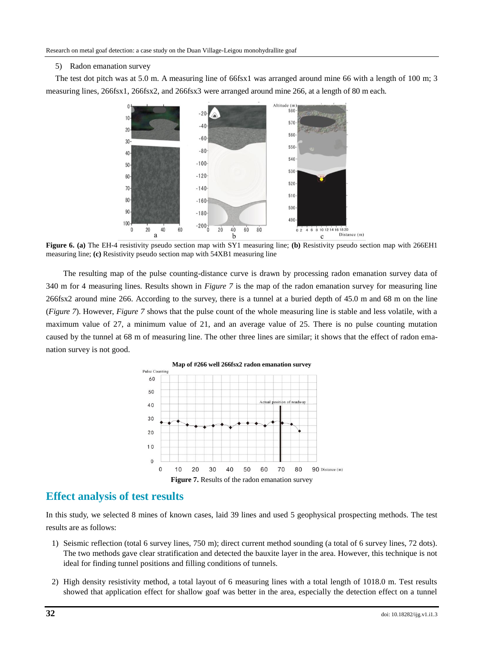#### 5) Radon emanation survey

<span id="page-7-0"></span>The test dot pitch was at 5.0 m. A measuring line of 66fsx1 was arranged around mine 66 with a length of 100 m; 3 measuring lines, 266fsx1, 266fsx2, and 266fsx3 were arranged around mine 266, at a length of 80 m each.



**Figure 6. (a)** The EH-4 resistivity pseudo section map with SY1 measuring line; **(b)** Resistivity pseudo section map with 266EH1 measuring line; **(c)** Resistivity pseudo section map with 54XB1 measuring line

The resulting map of the pulse counting-distance curve is drawn by processing radon emanation survey data of 340 m for 4 measuring lines. Results shown in *[Figure 7](#page-7-1)* is the map of the radon emanation survey for measuring line 266fsx2 around mine 266. According to the survey, there is a tunnel at a buried depth of 45.0 m and 68 m on the line (*[Figure 7](#page-7-1)*). However, *[Figure 7](#page-7-1)* shows that the pulse count of the whole measuring line is stable and less volatile, with a maximum value of 27, a minimum value of 21, and an average value of 25. There is no pulse counting mutation caused by the tunnel at 68 m of measuring line. The other three lines are similar; it shows that the effect of radon emanation survey is not good.

<span id="page-7-1"></span>

# **Effect analysis of test results**

In this study, we selected 8 mines of known cases, laid 39 lines and used 5 geophysical prospecting methods. The test results are as follows:

- 1) Seismic reflection (total 6 survey lines, 750 m); direct current method sounding (a total of 6 survey lines, 72 dots). The two methods gave clear stratification and detected the bauxite layer in the area. However, this technique is not ideal for finding tunnel positions and filling conditions of tunnels.
- 2) High density resistivity method, a total layout of 6 measuring lines with a total length of 1018.0 m. Test results showed that application effect for shallow goaf was better in the area, especially the detection effect on a tunnel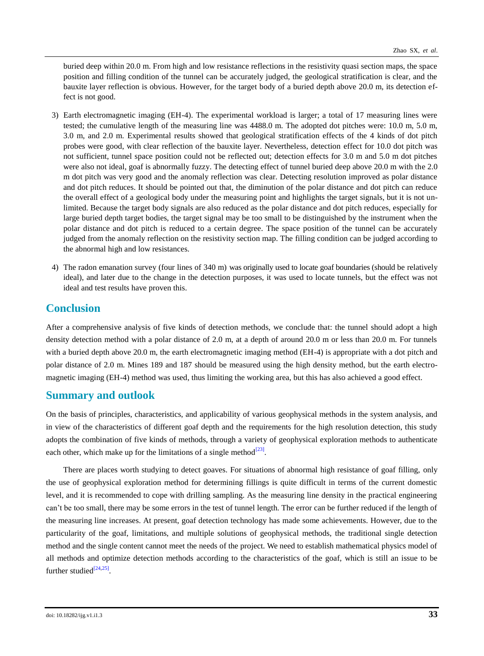buried deep within 20.0 m. From high and low resistance reflections in the resistivity quasi section maps, the space position and filling condition of the tunnel can be accurately judged, the geological stratification is clear, and the bauxite layer reflection is obvious. However, for the target body of a buried depth above 20.0 m, its detection effect is not good.

- 3) Earth electromagnetic imaging (EH-4). The experimental workload is larger; a total of 17 measuring lines were tested; the cumulative length of the measuring line was 4488.0 m. The adopted dot pitches were: 10.0 m, 5.0 m, 3.0 m, and 2.0 m. Experimental results showed that geological stratification effects of the 4 kinds of dot pitch probes were good, with clear reflection of the bauxite layer. Nevertheless, detection effect for 10.0 dot pitch was not sufficient, tunnel space position could not be reflected out; detection effects for 3.0 m and 5.0 m dot pitches were also not ideal, goaf is abnormally fuzzy. The detecting effect of tunnel buried deep above 20.0 m with the 2.0 m dot pitch was very good and the anomaly reflection was clear. Detecting resolution improved as polar distance and dot pitch reduces. It should be pointed out that, the diminution of the polar distance and dot pitch can reduce the overall effect of a geological body under the measuring point and highlights the target signals, but it is not unlimited. Because the target body signals are also reduced as the polar distance and dot pitch reduces, especially for large buried depth target bodies, the target signal may be too small to be distinguished by the instrument when the polar distance and dot pitch is reduced to a certain degree. The space position of the tunnel can be accurately judged from the anomaly reflection on the resistivity section map. The filling condition can be judged according to the abnormal high and low resistances.
- 4) The radon emanation survey (four lines of 340 m) was originally used to locate goaf boundaries (should be relatively ideal), and later due to the change in the detection purposes, it was used to locate tunnels, but the effect was not ideal and test results have proven this.

# **Conclusion**

After a comprehensive analysis of five kinds of detection methods, we conclude that: the tunnel should adopt a high density detection method with a polar distance of 2.0 m, at a depth of around 20.0 m or less than 20.0 m. For tunnels with a buried depth above 20.0 m, the earth electromagnetic imaging method (EH-4) is appropriate with a dot pitch and polar distance of 2.0 m. Mines 189 and 187 should be measured using the high density method, but the earth electromagnetic imaging (EH-4) method was used, thus limiting the working area, but this has also achieved a good effect.

# **Summary and outlook**

On the basis of principles, characteristics, and applicability of various geophysical methods in the system analysis, and in view of the characteristics of different goaf depth and the requirements for the high resolution detection, this study adopts the combination of five kinds of methods, through a variety of geophysical exploration methods to authenticate each other, which make up for the limitations of a single method $^{[23]}$  $^{[23]}$  $^{[23]}$ .

There are places worth studying to detect goaves. For situations of abnormal high resistance of goaf filling, only the use of geophysical exploration method for determining fillings is quite difficult in terms of the current domestic level, and it is recommended to cope with drilling sampling. As the measuring line density in the practical engineering can't be too small, there may be some errors in the test of tunnel length. The error can be further reduced if the length of the measuring line increases. At present, goaf detection technology has made some achievements. However, due to the particularity of the goaf, limitations, and multiple solutions of geophysical methods, the traditional single detection method and the single content cannot meet the needs of the project. We need to establish mathematical physics model of all methods and optimize detection methods according to the characteristics of the goaf, which is still an issue to be further studied $^{[24,25]}$  $^{[24,25]}$  $^{[24,25]}$  $^{[24,25]}$ .